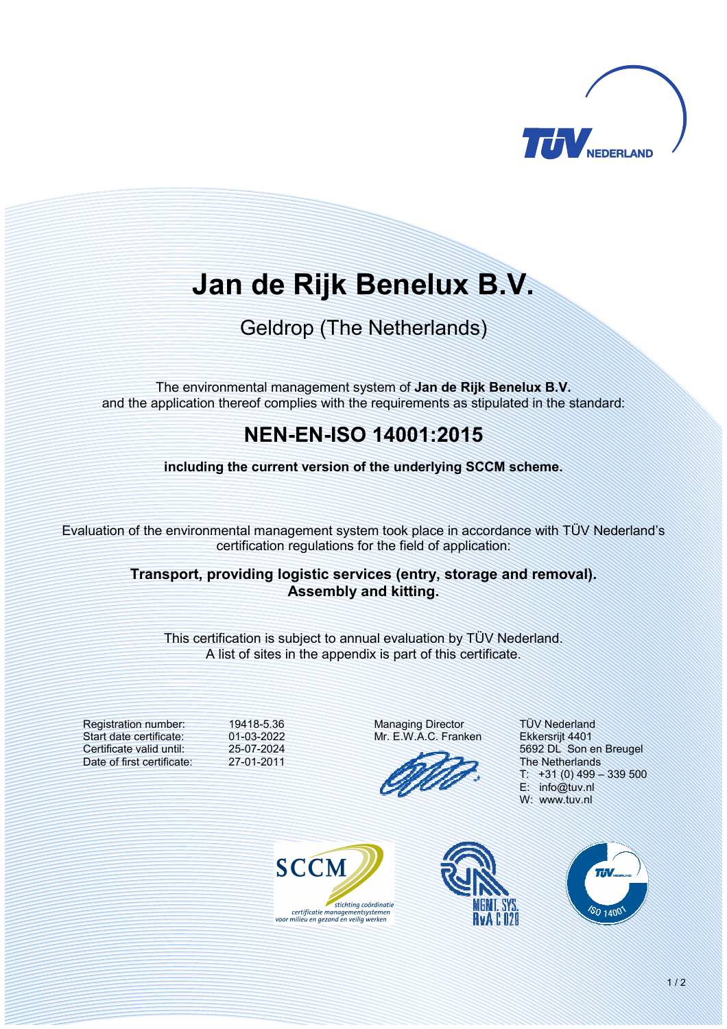

# **Jan de Rijk Benelux B.V.**

## Geldrop (The Netherlands)

The environmental management system of **Jan de Rijk Benelux B.V.** and the application thereof complies with the requirements as stipulated in the standard:

### **NENENISO 14001:2015**

**including the current version of the underlying SCCM scheme.** 

Evaluation of the environmental management system took place in accordance with TÜV Nederland's certification regulations for the field of application:

#### **Transport, providing logistic services (entry, storage and removal). Assembly and kitting.**

This certification is subject to annual evaluation by TÜV Nederland. A list of sites in the appendix is part of this certificate.

Registration number: Start date certificate: Certificate valid until: Date of first certificate: 19418-5.36 01-03-2022 25-07-2024 27-01-2011

Managing Director Mr. E.W.A.C. Franken

TÜV Nederland Ekkersrijt 4401 5692 DL Son en Breugel The Netherlands  $T: +31(0)$  499 - 339 500 E: info@tuv.nl W: www.tuv.nl